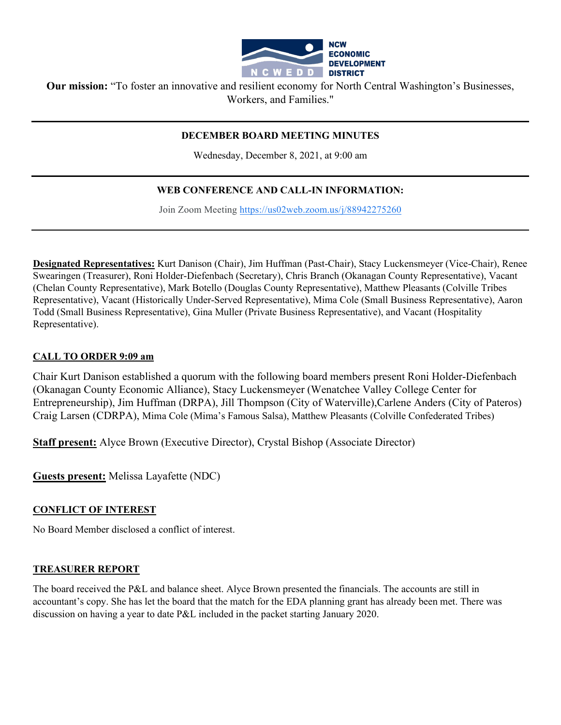

**Our mission:** "To foster an innovative and resilient economy for North Central Washington's Businesses, Workers, and Families."

#### **DECEMBER BOARD MEETING MINUTES**

Wednesday, December 8, 2021, at 9:00 am

### **WEB CONFERENCE AND CALL-IN INFORMATION:**

Join Zoom Meeting [https://us02web.zoom.us/j/88942275260](https://www.google.com/url?q=https://us02web.zoom.us/j/88942275260&sa=D&source=calendar&ust=1597623644231000&usg=AOvVaw0razd11iR42A_UfLivuZTv)

**Designated Representatives:** Kurt Danison (Chair), Jim Huffman (Past-Chair), Stacy Luckensmeyer (Vice-Chair), Renee Swearingen (Treasurer), Roni Holder-Diefenbach (Secretary), Chris Branch (Okanagan County Representative), Vacant (Chelan County Representative), Mark Botello (Douglas County Representative), Matthew Pleasants (Colville Tribes Representative), Vacant (Historically Under-Served Representative), Mima Cole (Small Business Representative), Aaron Todd (Small Business Representative), Gina Muller (Private Business Representative), and Vacant (Hospitality Representative).

#### **CALL TO ORDER 9:09 am**

Chair Kurt Danison established a quorum with the following board members present Roni Holder-Diefenbach (Okanagan County Economic Alliance), Stacy Luckensmeyer (Wenatchee Valley College Center for Entrepreneurship), Jim Huffman (DRPA), Jill Thompson (City of Waterville),Carlene Anders (City of Pateros) Craig Larsen (CDRPA), Mima Cole (Mima's Famous Salsa), Matthew Pleasants (Colville Confederated Tribes)

**Staff present:** Alyce Brown (Executive Director), Crystal Bishop (Associate Director)

**Guests present:** Melissa Layafette (NDC)

#### **CONFLICT OF INTEREST**

No Board Member disclosed a conflict of interest.

#### **TREASURER REPORT**

The board received the P&L and balance sheet. Alyce Brown presented the financials. The accounts are still in accountant's copy. She has let the board that the match for the EDA planning grant has already been met. There was discussion on having a year to date P&L included in the packet starting January 2020.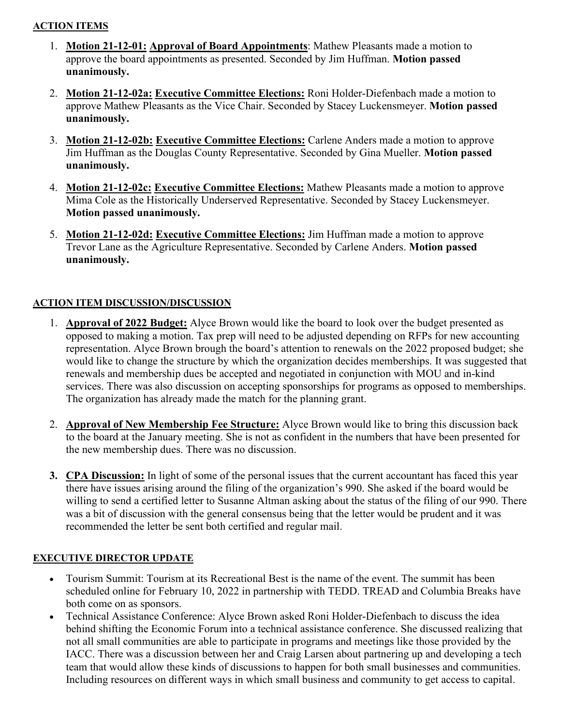### **ACTION ITEMS**

- 1. **Motion 21-12-01: Approval of Board Appointments**: Mathew Pleasants made a motion to approve the board appointments as presented. Seconded by Jim Huffman. **Motion passed unanimously.**
- 2. **Motion 21-12-02a: Executive Committee Elections:** Roni Holder-Diefenbach made a motion to approve Mathew Pleasants as the Vice Chair. Seconded by Stacey Luckensmeyer. **Motion passed unanimously.**
- 3. **Motion 21-12-02b: Executive Committee Elections:** Carlene Anders made a motion to approve Jim Huffman as the Douglas County Representative. Seconded by Gina Mueller. **Motion passed unanimously.**
- 4. **Motion 21-12-02c: Executive Committee Elections:** Mathew Pleasants made a motion to approve Mima Cole as the Historically Underserved Representative. Seconded by Stacey Luckensmeyer. **Motion passed unanimously.**
- 5. **Motion 21-12-02d: Executive Committee Elections:** Jim Huffman made a motion to approve Trevor Lane as the Agriculture Representative. Seconded by Carlene Anders. **Motion passed unanimously.**

# **ACTION ITEM DISCUSSION/DISCUSSION**

- 1. **Approval of 2022 Budget:** Alyce Brown would like the board to look over the budget presented as opposed to making a motion. Tax prep will need to be adjusted depending on RFPs for new accounting representation. Alyce Brown brough the board's attention to renewals on the 2022 proposed budget; she would like to change the structure by which the organization decides memberships. It was suggested that renewals and membership dues be accepted and negotiated in conjunction with MOU and in-kind services. There was also discussion on accepting sponsorships for programs as opposed to memberships. The organization has already made the match for the planning grant.
- 2. **Approval of New Membership Fee Structure:** Alyce Brown would like to bring this discussion back to the board at the January meeting. She is not as confident in the numbers that have been presented for the new membership dues. There was no discussion.
- **3. CPA Discussion:** In light of some of the personal issues that the current accountant has faced this year there have issues arising around the filing of the organization's 990. She asked if the board would be willing to send a certified letter to Susanne Altman asking about the status of the filing of our 990. There was a bit of discussion with the general consensus being that the letter would be prudent and it was recommended the letter be sent both certified and regular mail.

# **EXECUTIVE DIRECTOR UPDATE**

- Tourism Summit: Tourism at its Recreational Best is the name of the event. The summit has been scheduled online for February 10, 2022 in partnership with TEDD. TREAD and Columbia Breaks have both come on as sponsors.
- Technical Assistance Conference: Alyce Brown asked Roni Holder-Diefenbach to discuss the idea behind shifting the Economic Forum into a technical assistance conference. She discussed realizing that not all small communities are able to participate in programs and meetings like those provided by the IACC. There was a discussion between her and Craig Larsen about partnering up and developing a tech team that would allow these kinds of discussions to happen for both small businesses and communities. Including resources on different ways in which small business and community to get access to capital.